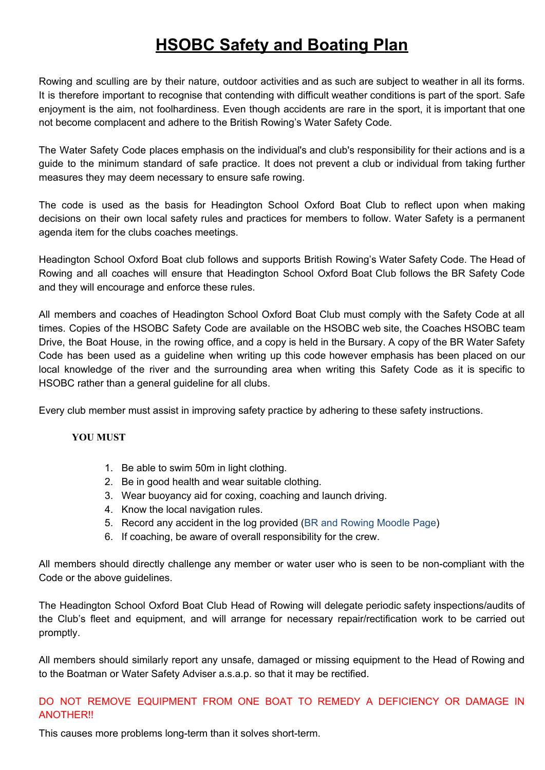# **HSOBC Safety and Boating Plan**

Rowing and sculling are by their nature, outdoor activities and as such are subject to weather in all its forms. It is therefore important to recognise that contending with difficult weather conditions is part of the sport. Safe enjoyment is the aim, not foolhardiness. Even though accidents are rare in the sport, it is important that one not become complacent and adhere to the British Rowing's Water Safety Code.

The Water Safety Code places emphasis on the individual's and club's responsibility for their actions and is a guide to the minimum standard of safe practice. It does not prevent a club or individual from taking further measures they may deem necessary to ensure safe rowing.

The code is used as the basis for Headington School Oxford Boat Club to reflect upon when making decisions on their own local safety rules and practices for members to follow. Water Safety is a permanent agenda item for the clubs coaches meetings.

Headington School Oxford Boat club follows and supports British Rowing's Water Safety Code. The Head of Rowing and all coaches will ensure that Headington School Oxford Boat Club follows the BR Safety Code and they will encourage and enforce these rules.

All members and coaches of Headington School Oxford Boat Club must comply with the Safety Code at all times. Copies of the HSOBC Safety Code are available on the HSOBC web site, the Coaches HSOBC team Drive, the Boat House, in the rowing office, and a copy is held in the Bursary. A copy of the BR Water Safety Code has been used as a guideline when writing up this code however emphasis has been placed on our local knowledge of the river and the surrounding area when writing this Safety Code as it is specific to HSOBC rather than a general guideline for all clubs.

Every club member must assist in improving safety practice by adhering to these safety instructions.

#### **YOU MUST**

- 1. Be able to swim 50m in light clothing.
- 2. Be in good health and wear suitable clothing.
- 3. Wear buoyancy aid for coxing, coaching and launch driving.
- 4. Know the local navigation rules.
- 5. Record any accident in the log provided (BR and Rowing Moodle Page)
- 6. If coaching, be aware of overall responsibility for the crew.

All members should directly challenge any member or water user who is seen to be non-compliant with the Code or the above guidelines.

The Headington School Oxford Boat Club Head of Rowing will delegate periodic safety inspections/audits of the Club's fleet and equipment, and will arrange for necessary repair/rectification work to be carried out promptly.

All members should similarly report any unsafe, damaged or missing equipment to the Head of Rowing and to the Boatman or Water Safety Adviser a.s.a.p. so that it may be rectified.

## DO NOT REMOVE EQUIPMENT FROM ONE BOAT TO REMEDY A DEFICIENCY OR DAMAGE IN ANOTHER!!

This causes more problems long-term than it solves short-term.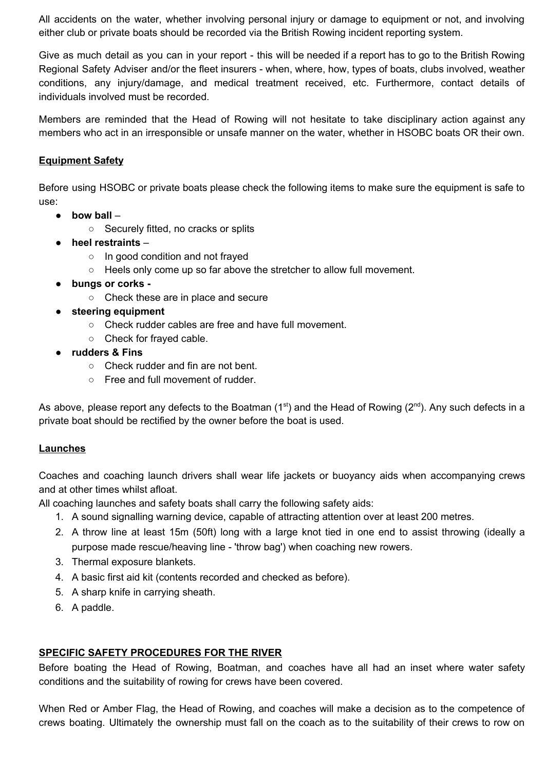All accidents on the water, whether involving personal injury or damage to equipment or not, and involving either club or private boats should be recorded via the British Rowing incident reporting system.

Give as much detail as you can in your report - this will be needed if a report has to go to the British Rowing Regional Safety Adviser and/or the fleet insurers - when, where, how, types of boats, clubs involved, weather conditions, any injury/damage, and medical treatment received, etc. Furthermore, contact details of individuals involved must be recorded.

Members are reminded that the Head of Rowing will not hesitate to take disciplinary action against any members who act in an irresponsible or unsafe manner on the water, whether in HSOBC boats OR their own.

## **Equipment Safety**

Before using HSOBC or private boats please check the following items to make sure the equipment is safe to use:

- **bow ball**
	- Securely fitted, no cracks or splits
- **heel restraints**
	- In good condition and not frayed
	- Heels only come up so far above the stretcher to allow full movement.
- **bungs or corks -**
	- Check these are in place and secure
- **steering equipment**
	- Check rudder cables are free and have full movement.
	- Check for frayed cable.
- **rudders & Fins**
	- Check rudder and fin are not bent.
	- Free and full movement of rudder.

As above, please report any defects to the Boatman (1<sup>st</sup>) and the Head of Rowing (2<sup>nd</sup>). Any such defects in a private boat should be rectified by the owner before the boat is used.

## **Launches**

Coaches and coaching launch drivers shall wear life jackets or buoyancy aids when accompanying crews and at other times whilst afloat.

All coaching launches and safety boats shall carry the following safety aids:

- 1. A sound signalling warning device, capable of attracting attention over at least 200 metres.
- 2. A throw line at least 15m (50ft) long with a large knot tied in one end to assist throwing (ideally a purpose made rescue/heaving line - 'throw bag') when coaching new rowers.
- 3. Thermal exposure blankets.
- 4. A basic first aid kit (contents recorded and checked as before).
- 5. A sharp knife in carrying sheath.
- 6. A paddle.

## **SPECIFIC SAFETY PROCEDURES FOR THE RIVER**

Before boating the Head of Rowing, Boatman, and coaches have all had an inset where water safety conditions and the suitability of rowing for crews have been covered.

When Red or Amber Flag, the Head of Rowing, and coaches will make a decision as to the competence of crews boating. Ultimately the ownership must fall on the coach as to the suitability of their crews to row on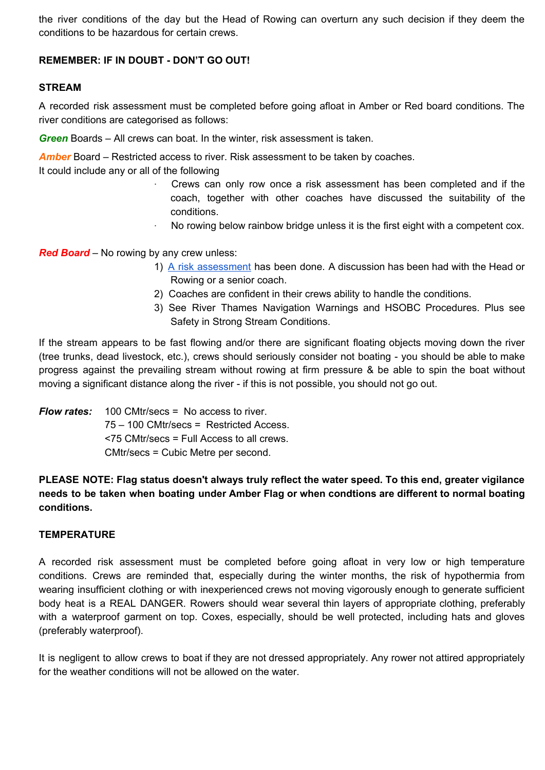the river conditions of the day but the Head of Rowing can overturn any such decision if they deem the conditions to be hazardous for certain crews.

## **REMEMBER: IF IN DOUBT - DON'T GO OUT!**

### **STREAM**

A recorded risk assessment must be completed before going afloat in Amber or Red board conditions. The river conditions are categorised as follows:

*Green* Boards – All crews can boat. In the winter, risk assessment is taken.

*Amber* Board – Restricted access to river. Risk assessment to be taken by coaches.

It could include any or all of the following

- · Crews can only row once a risk assessment has been completed and if the coach, together with other coaches have discussed the suitability of the conditions.
- · No rowing below rainbow bridge unless it is the first eight with a competent cox.

*Red Board* – No rowing by any crew unless:

- 1) A risk [assessment](https://docs.google.com/forms/d/e/1FAIpQLSdSwmuzI_ii0XvSJMMibAqKJq8DleygGcjm6FDr4GUCgvhvTw/viewform?usp=sf_link) has been done. A discussion has been had with the Head or Rowing or a senior coach.
- 2) Coaches are confident in their crews ability to handle the conditions.
- 3) See River Thames Navigation Warnings and HSOBC Procedures. Plus see Safety in Strong Stream Conditions.

If the stream appears to be fast flowing and/or there are significant floating objects moving down the river (tree trunks, dead livestock, etc.), crews should seriously consider not boating - you should be able to make progress against the prevailing stream without rowing at firm pressure & be able to spin the boat without moving a significant distance along the river - if this is not possible, you should not go out.

*Flow rates:* 100 CMtr/secs = No access to river. 75 – 100 CMtr/secs = Restricted Access. <75 CMtr/secs = Full Access to all crews. CMtr/secs = Cubic Metre per second.

**PLEASE NOTE: Flag status doesn't always truly reflect the water speed. To this end, greater vigilance needs to be taken when boating under Amber Flag or when condtions are different to normal boating conditions.**

#### **TEMPERATURE**

A recorded risk assessment must be completed before going afloat in very low or high temperature conditions. Crews are reminded that, especially during the winter months, the risk of hypothermia from wearing insufficient clothing or with inexperienced crews not moving vigorously enough to generate sufficient body heat is a REAL DANGER. Rowers should wear several thin layers of appropriate clothing, preferably with a waterproof garment on top. Coxes, especially, should be well protected, including hats and gloves (preferably waterproof).

It is negligent to allow crews to boat if they are not dressed appropriately. Any rower not attired appropriately for the weather conditions will not be allowed on the water.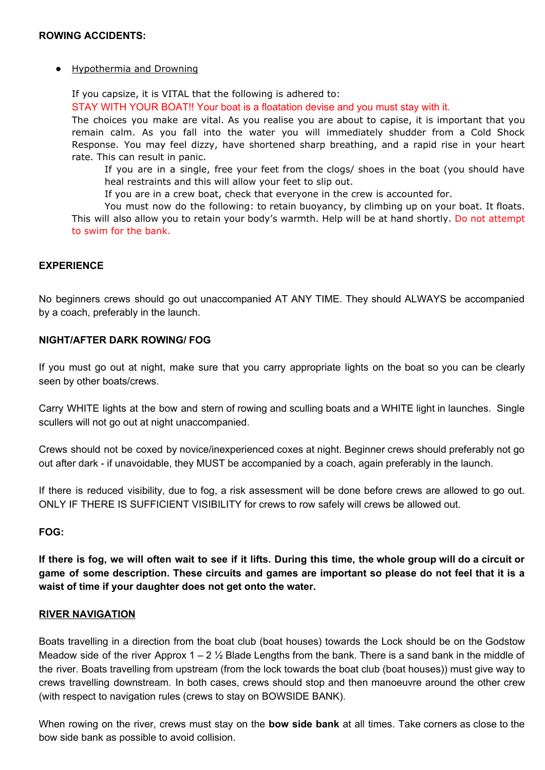#### ● Hypothermia and Drowning

If you capsize, it is VITAL that the following is adhered to: STAY WITH YOUR BOAT!! Your boat is a floatation devise and you must stay with it.

The choices you make are vital. As you realise you are about to capise, it is important that you remain calm. As you fall into the water you will immediately shudder from a Cold Shock Response. You may feel dizzy, have shortened sharp breathing, and a rapid rise in your heart rate. This can result in panic.

If you are in a single, free your feet from the clogs/ shoes in the boat (you should have heal restraints and this will allow your feet to slip out.

If you are in a crew boat, check that everyone in the crew is accounted for.

You must now do the following: to retain buoyancy, by climbing up on your boat. It floats. This will also allow you to retain your body's warmth. Help will be at hand shortly. Do not attempt to swim for the bank.

### **EXPERIENCE**

No beginners crews should go out unaccompanied AT ANY TIME. They should ALWAYS be accompanied by a coach, preferably in the launch.

#### **NIGHT/AFTER DARK ROWING/ FOG**

If you must go out at night, make sure that you carry appropriate lights on the boat so you can be clearly seen by other boats/crews.

Carry WHITE lights at the bow and stern of rowing and sculling boats and a WHITE light in launches. Single scullers will not go out at night unaccompanied.

Crews should not be coxed by novice/inexperienced coxes at night. Beginner crews should preferably not go out after dark - if unavoidable, they MUST be accompanied by a coach, again preferably in the launch.

If there is reduced visibility, due to fog, a risk assessment will be done before crews are allowed to go out. ONLY IF THERE IS SUFFICIENT VISIBILITY for crews to row safely will crews be allowed out.

#### **FOG:**

If there is fog, we will often wait to see if it lifts. During this time, the whole group will do a circuit or game of some description. These circuits and games are important so please do not feel that it is a **waist of time if your daughter does not get onto the water.**

#### **RIVER NAVIGATION**

Boats travelling in a direction from the boat club (boat houses) towards the Lock should be on the Godstow Meadow side of the river Approx  $1 - 2 \frac{1}{2}$  Blade Lengths from the bank. There is a sand bank in the middle of the river. Boats travelling from upstream (from the lock towards the boat club (boat houses)) must give way to crews travelling downstream. In both cases, crews should stop and then manoeuvre around the other crew (with respect to navigation rules (crews to stay on BOWSIDE BANK).

When rowing on the river, crews must stay on the **bow side bank** at all times. Take corners as close to the bow side bank as possible to avoid collision.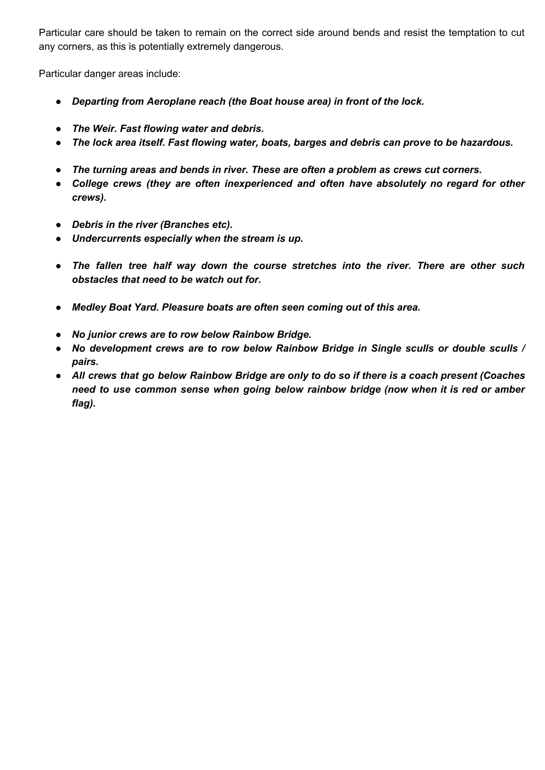Particular care should be taken to remain on the correct side around bends and resist the temptation to cut any corners, as this is potentially extremely dangerous.

Particular danger areas include:

- *Departing from Aeroplane reach (the Boat house area) in front of the lock.*
- *The Weir. Fast flowing water and debris.*
- *The lock area itself. Fast flowing water, boats, barges and debris can prove to be hazardous.*
- *The turning areas and bends in river. These are often a problem as crews cut corners.*
- *College crews (they are often inexperienced and often have absolutely no regard for other crews).*
- *Debris in the river (Branches etc).*
- *Undercurrents especially when the stream is up.*
- *The fallen tree half way down the course stretches into the river. There are other such obstacles that need to be watch out for.*
- *Medley Boat Yard. Pleasure boats are often seen coming out of this area.*
- *No junior crews are to row below Rainbow Bridge.*
- *No development crews are to row below Rainbow Bridge in Single sculls or double sculls / pairs.*
- All crews that go below Rainbow Bridge are only to do so if there is a coach present (Coaches *need to use common sense when going below rainbow bridge (now when it is red or amber flag).*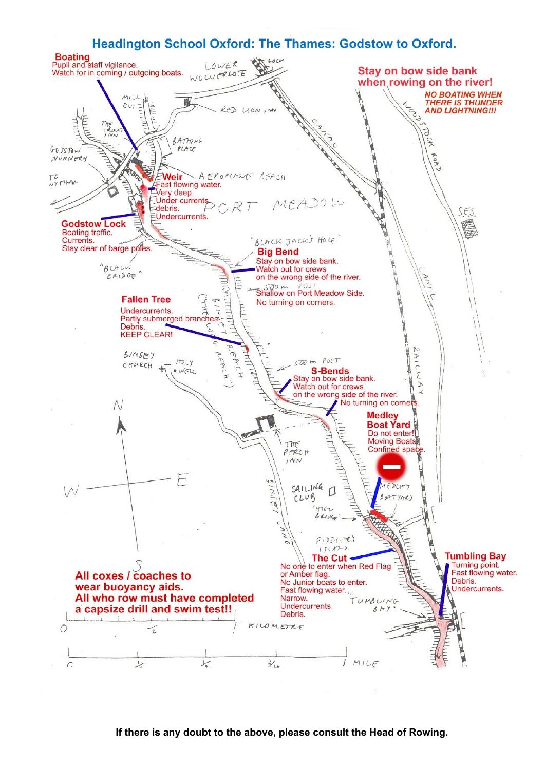

#### **If there is any doubt to the above, please consult the Head of Rowing.**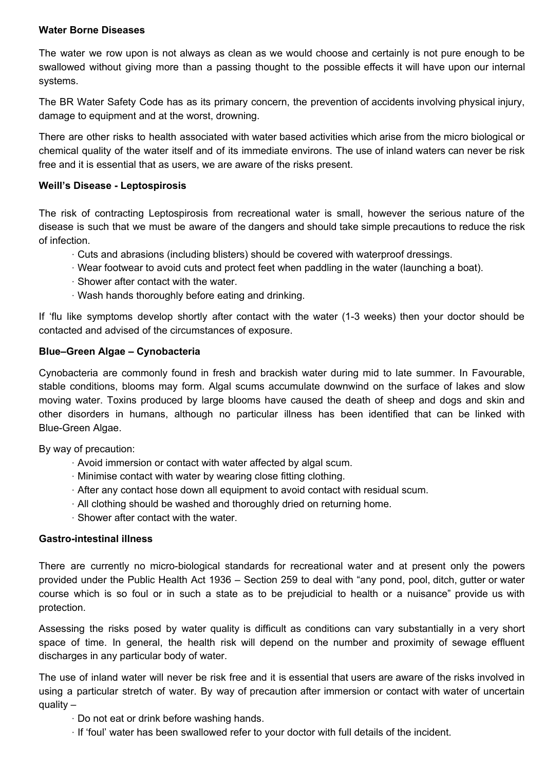### **Water Borne Diseases**

The water we row upon is not always as clean as we would choose and certainly is not pure enough to be swallowed without giving more than a passing thought to the possible effects it will have upon our internal systems.

The BR Water Safety Code has as its primary concern, the prevention of accidents involving physical injury, damage to equipment and at the worst, drowning.

There are other risks to health associated with water based activities which arise from the micro biological or chemical quality of the water itself and of its immediate environs. The use of inland waters can never be risk free and it is essential that as users, we are aware of the risks present.

### **Weill's Disease - Leptospirosis**

The risk of contracting Leptospirosis from recreational water is small, however the serious nature of the disease is such that we must be aware of the dangers and should take simple precautions to reduce the risk of infection.

- · Cuts and abrasions (including blisters) should be covered with waterproof dressings.
- · Wear footwear to avoid cuts and protect feet when paddling in the water (launching a boat).
- · Shower after contact with the water.
- · Wash hands thoroughly before eating and drinking.

If 'flu like symptoms develop shortly after contact with the water (1-3 weeks) then your doctor should be contacted and advised of the circumstances of exposure.

#### **Blue–Green Algae – Cynobacteria**

Cynobacteria are commonly found in fresh and brackish water during mid to late summer. In Favourable, stable conditions, blooms may form. Algal scums accumulate downwind on the surface of lakes and slow moving water. Toxins produced by large blooms have caused the death of sheep and dogs and skin and other disorders in humans, although no particular illness has been identified that can be linked with Blue-Green Algae.

By way of precaution:

- · Avoid immersion or contact with water affected by algal scum.
- · Minimise contact with water by wearing close fitting clothing.
- · After any contact hose down all equipment to avoid contact with residual scum.
- · All clothing should be washed and thoroughly dried on returning home.
- · Shower after contact with the water.

#### **Gastro-intestinal illness**

There are currently no micro-biological standards for recreational water and at present only the powers provided under the Public Health Act 1936 – Section 259 to deal with "any pond, pool, ditch, gutter or water course which is so foul or in such a state as to be prejudicial to health or a nuisance" provide us with protection.

Assessing the risks posed by water quality is difficult as conditions can vary substantially in a very short space of time. In general, the health risk will depend on the number and proximity of sewage effluent discharges in any particular body of water.

The use of inland water will never be risk free and it is essential that users are aware of the risks involved in using a particular stretch of water. By way of precaution after immersion or contact with water of uncertain quality –

- · Do not eat or drink before washing hands.
- · If 'foul' water has been swallowed refer to your doctor with full details of the incident.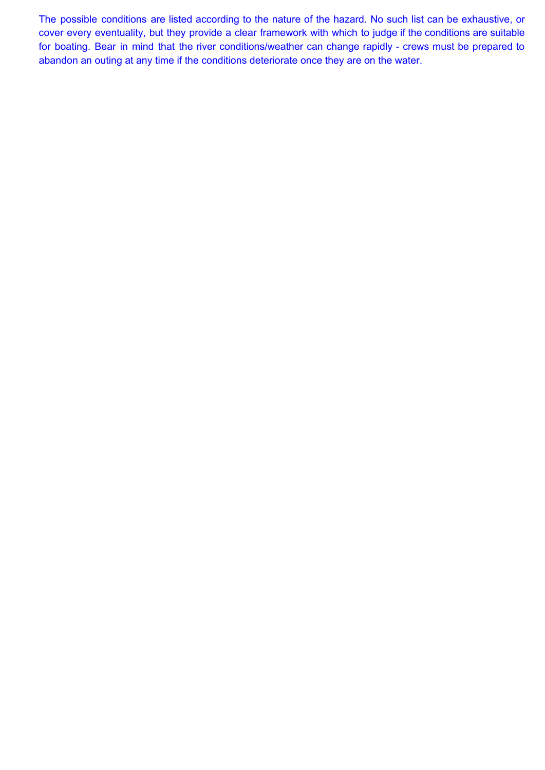The possible conditions are listed according to the nature of the hazard. No such list can be exhaustive, or cover every eventuality, but they provide a clear framework with which to judge if the conditions are suitable for boating. Bear in mind that the river conditions/weather can change rapidly - crews must be prepared to abandon an outing at any time if the conditions deteriorate once they are on the water.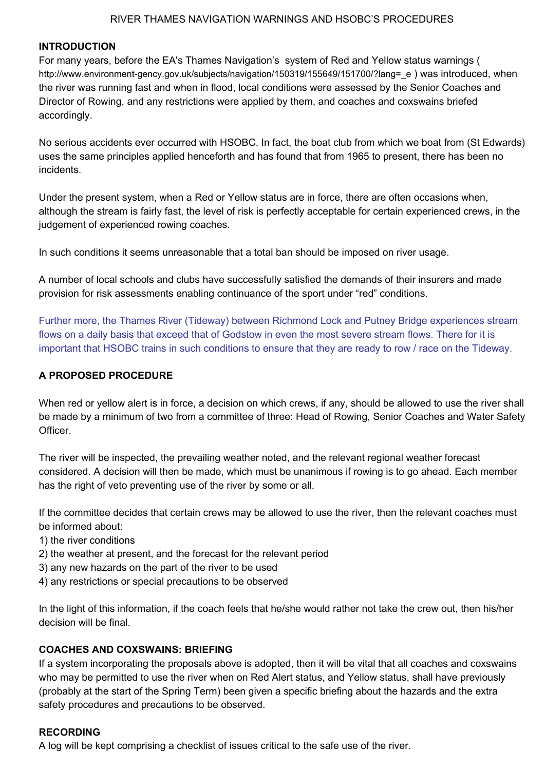#### RIVER THAMES NAVIGATION WARNINGS AND HSOBC'S PROCEDURES

#### **INTRODUCTION**

For many years, before the EA's Thames Navigation's system of Red and Yellow status warnings ( http://www.environment-gency.gov.uk/subjects/navigation/150319/155649/151700/?lang=\_e ) was introduced, when the river was running fast and when in flood, local conditions were assessed by the Senior Coaches and Director of Rowing, and any restrictions were applied by them, and coaches and coxswains briefed accordingly.

No serious accidents ever occurred with HSOBC. In fact, the boat club from which we boat from (St Edwards) uses the same principles applied henceforth and has found that from 1965 to present, there has been no incidents.

Under the present system, when a Red or Yellow status are in force, there are often occasions when, although the stream is fairly fast, the level of risk is perfectly acceptable for certain experienced crews, in the judgement of experienced rowing coaches.

In such conditions it seems unreasonable that a total ban should be imposed on river usage.

A number of local schools and clubs have successfully satisfied the demands of their insurers and made provision for risk assessments enabling continuance of the sport under "red" conditions.

Further more, the Thames River (Tideway) between Richmond Lock and Putney Bridge experiences stream flows on a daily basis that exceed that of Godstow in even the most severe stream flows. There for it is important that HSOBC trains in such conditions to ensure that they are ready to row / race on the Tideway.

### **A PROPOSED PROCEDURE**

When red or yellow alert is in force, a decision on which crews, if any, should be allowed to use the river shall be made by a minimum of two from a committee of three: Head of Rowing, Senior Coaches and Water Safety Officer.

The river will be inspected, the prevailing weather noted, and the relevant regional weather forecast considered. A decision will then be made, which must be unanimous if rowing is to go ahead. Each member has the right of veto preventing use of the river by some or all.

If the committee decides that certain crews may be allowed to use the river, then the relevant coaches must be informed about:

- 1) the river conditions
- 2) the weather at present, and the forecast for the relevant period
- 3) any new hazards on the part of the river to be used
- 4) any restrictions or special precautions to be observed

In the light of this information, if the coach feels that he/she would rather not take the crew out, then his/her decision will be final.

#### **COACHES AND COXSWAINS: BRIEFING**

If a system incorporating the proposals above is adopted, then it will be vital that all coaches and coxswains who may be permitted to use the river when on Red Alert status, and Yellow status, shall have previously (probably at the start of the Spring Term) been given a specific briefing about the hazards and the extra safety procedures and precautions to be observed.

#### **RECORDING**

A log will be kept comprising a checklist of issues critical to the safe use of the river.